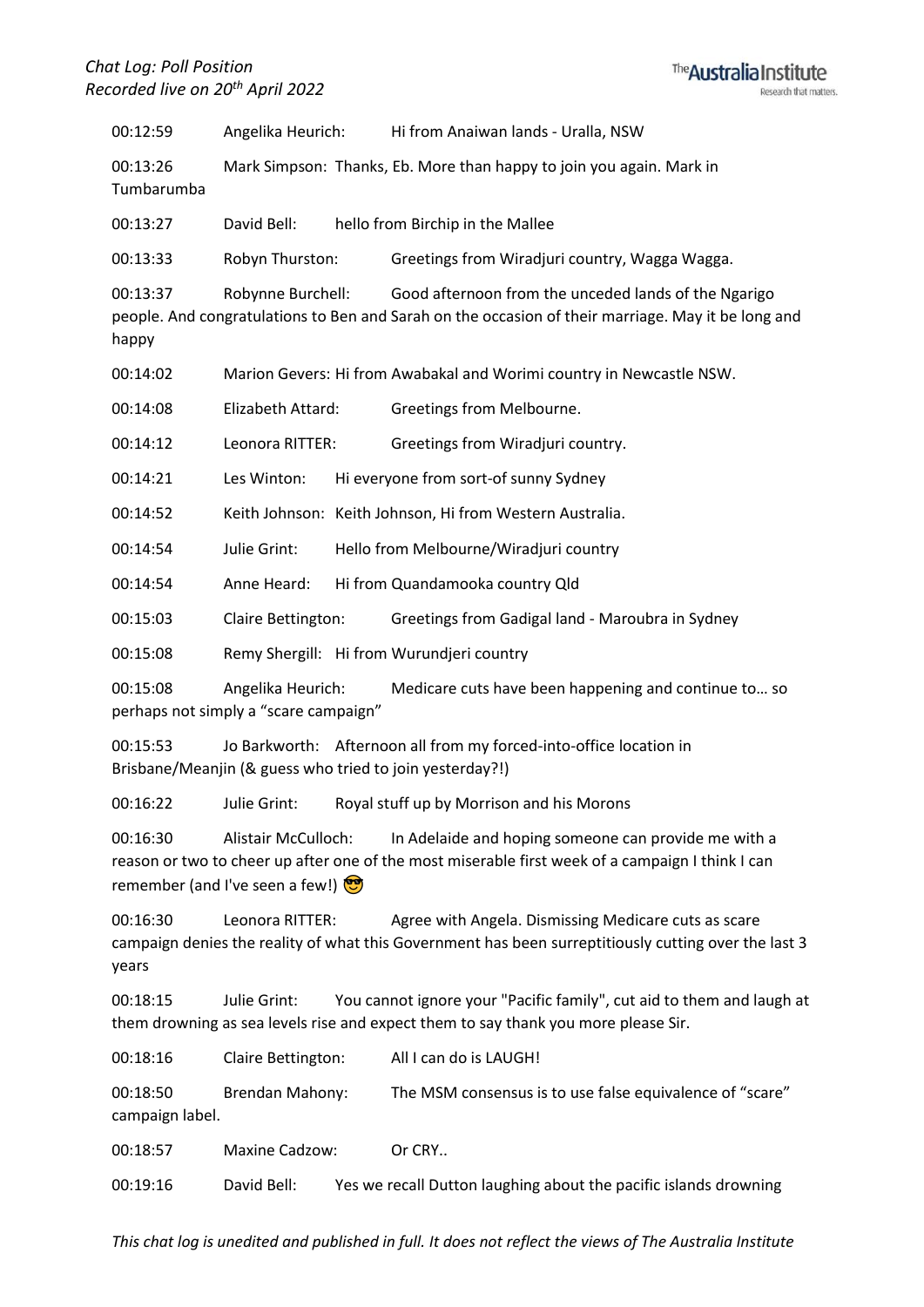

00:12:59 Angelika Heurich: Hi from Anaiwan lands - Uralla, NSW

00:13:26 Mark Simpson: Thanks, Eb. More than happy to join you again. Mark in Tumbarumba

00:13:27 David Bell: hello from Birchip in the Mallee

00:13:33 Robyn Thurston: Greetings from Wiradjuri country, Wagga Wagga.

00:13:37 Robynne Burchell: Good afternoon from the unceded lands of the Ngarigo people. And congratulations to Ben and Sarah on the occasion of their marriage. May it be long and happy

00:14:02 Marion Gevers: Hi from Awabakal and Worimi country in Newcastle NSW.

00:14:08 Elizabeth Attard: Greetings from Melbourne.

00:14:12 Leonora RITTER: Greetings from Wiradjuri country.

00:14:21 Les Winton: Hi everyone from sort-of sunny Sydney

00:14:52 Keith Johnson: Keith Johnson, Hi from Western Australia.

00:14:54 Julie Grint: Hello from Melbourne/Wiradjuri country

00:14:54 Anne Heard: Hi from Quandamooka country Qld

00:15:03 Claire Bettington: Greetings from Gadigal land - Maroubra in Sydney

00:15:08 Remy Shergill: Hi from Wurundjeri country

00:15:08 Angelika Heurich: Medicare cuts have been happening and continue to… so perhaps not simply a "scare campaign"

00:15:53 Jo Barkworth: Afternoon all from my forced-into-office location in Brisbane/Meanjin (& guess who tried to join yesterday?!)

00:16:22 Julie Grint: Royal stuff up by Morrison and his Morons

00:16:30 Alistair McCulloch: In Adelaide and hoping someone can provide me with a reason or two to cheer up after one of the most miserable first week of a campaign I think I can remember (and I've seen a few!)

00:16:30 Leonora RITTER: Agree with Angela. Dismissing Medicare cuts as scare campaign denies the reality of what this Government has been surreptitiously cutting over the last 3 years

00:18:15 Julie Grint: You cannot ignore your "Pacific family", cut aid to them and laugh at them drowning as sea levels rise and expect them to say thank you more please Sir.

00:18:16 Claire Bettington: All I can do is LAUGH!

00:18:50 Brendan Mahony: The MSM consensus is to use false equivalence of "scare" campaign label.

00:18:57 Maxine Cadzow: Or CRY..

00:19:16 David Bell: Yes we recall Dutton laughing about the pacific islands drowning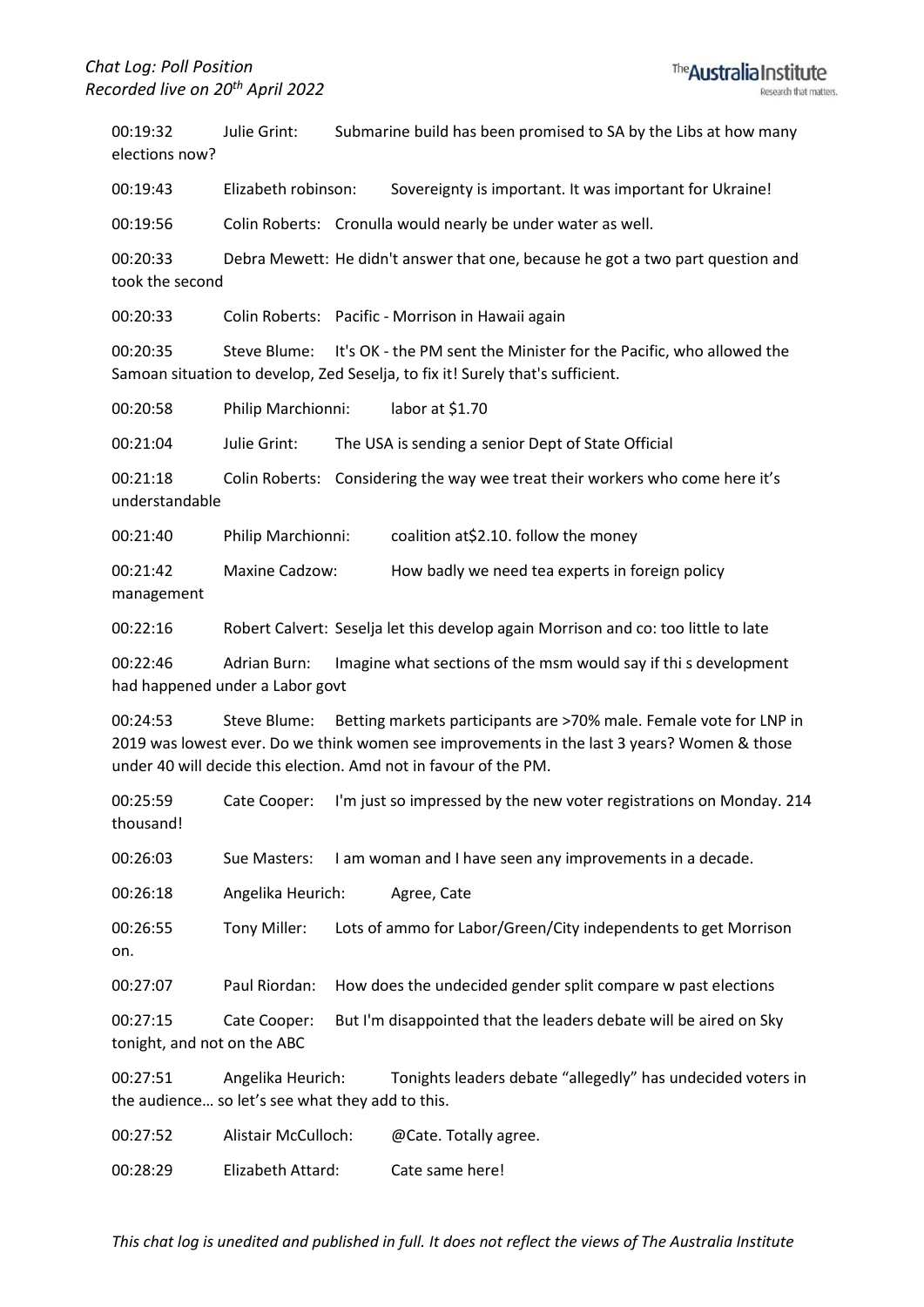00:19:32 Julie Grint: Submarine build has been promised to SA by the Libs at how many elections now?

00:19:43 Elizabeth robinson: Sovereignty is important. It was important for Ukraine!

00:19:56 Colin Roberts: Cronulla would nearly be under water as well.

00:20:33 Debra Mewett: He didn't answer that one, because he got a two part question and took the second

00:20:33 Colin Roberts: Pacific - Morrison in Hawaii again

00:20:35 Steve Blume: It's OK - the PM sent the Minister for the Pacific, who allowed the Samoan situation to develop, Zed Seselja, to fix it! Surely that's sufficient.

00:20:58 Philip Marchionni: labor at \$1.70

00:21:04 Julie Grint: The USA is sending a senior Dept of State Official

00:21:18 Colin Roberts: Considering the way wee treat their workers who come here it's understandable

00:21:40 Philip Marchionni: coalition at\$2.10. follow the money

00:21:42 Maxine Cadzow: How badly we need tea experts in foreign policy management

00:22:16 Robert Calvert: Seselja let this develop again Morrison and co: too little to late

00:22:46 Adrian Burn: Imagine what sections of the msm would say if thi s development had happened under a Labor govt

00:24:53 Steve Blume: Betting markets participants are >70% male. Female vote for LNP in 2019 was lowest ever. Do we think women see improvements in the last 3 years? Women & those under 40 will decide this election. Amd not in favour of the PM.

00:25:59 Cate Cooper: I'm just so impressed by the new voter registrations on Monday. 214 thousand!

00:26:03 Sue Masters: I am woman and I have seen any improvements in a decade.

00:26:18 Angelika Heurich: Agree, Cate

00:26:55 Tony Miller: Lots of ammo for Labor/Green/City independents to get Morrison on.

00:27:07 Paul Riordan: How does the undecided gender split compare w past elections

00:27:15 Cate Cooper: But I'm disappointed that the leaders debate will be aired on Sky tonight, and not on the ABC

00:27:51 Angelika Heurich: Tonights leaders debate "allegedly" has undecided voters in the audience… so let's see what they add to this.

00:27:52 Alistair McCulloch: @Cate. Totally agree.

00:28:29 Elizabeth Attard: Cate same here!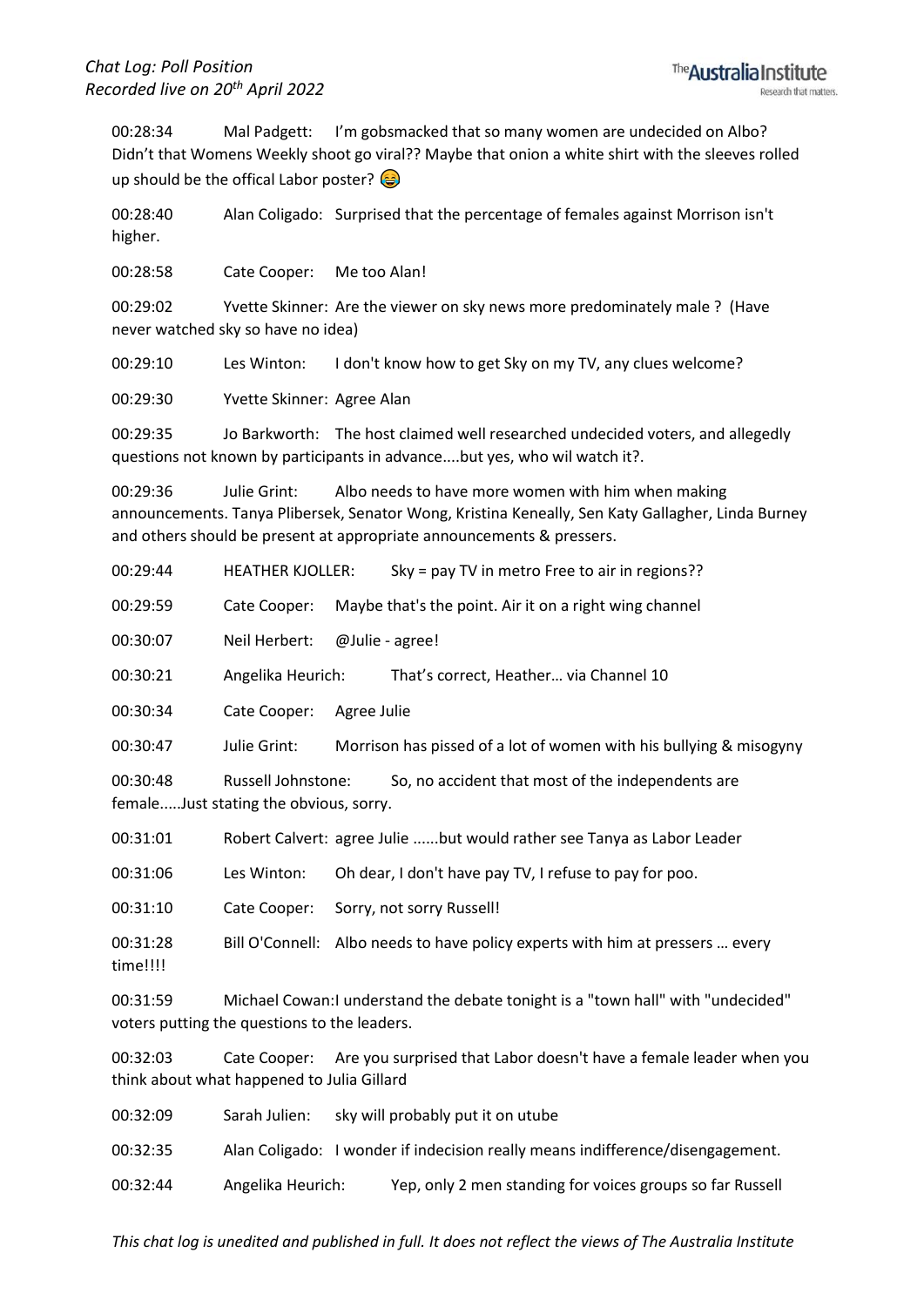00:28:34 Mal Padgett: I'm gobsmacked that so many women are undecided on Albo? Didn't that Womens Weekly shoot go viral?? Maybe that onion a white shirt with the sleeves rolled up should be the offical Labor poster?

00:28:40 Alan Coligado: Surprised that the percentage of females against Morrison isn't higher.

00:28:58 Cate Cooper: Me too Alan!

00:29:02 Yvette Skinner: Are the viewer on sky news more predominately male ? (Have never watched sky so have no idea)

00:29:10 Les Winton: I don't know how to get Sky on my TV, any clues welcome?

00:29:30 Yvette Skinner: Agree Alan

00:29:35 Jo Barkworth: The host claimed well researched undecided voters, and allegedly questions not known by participants in advance....but yes, who wil watch it?.

00:29:36 Julie Grint: Albo needs to have more women with him when making announcements. Tanya Plibersek, Senator Wong, Kristina Keneally, Sen Katy Gallagher, Linda Burney and others should be present at appropriate announcements & pressers.

00:29:44 HEATHER KJOLLER: Sky = pay TV in metro Free to air in regions??

00:29:59 Cate Cooper: Maybe that's the point. Air it on a right wing channel

00:30:07 Neil Herbert: @Julie - agree!

00:30:21 Angelika Heurich: That's correct, Heather… via Channel 10

00:30:34 Cate Cooper: Agree Julie

00:30:47 Julie Grint: Morrison has pissed of a lot of women with his bullying & misogyny

00:30:48 Russell Johnstone: So, no accident that most of the independents are female.....Just stating the obvious, sorry.

00:31:01 Robert Calvert: agree Julie ......but would rather see Tanya as Labor Leader

00:31:06 Les Winton: Oh dear, I don't have pay TV, I refuse to pay for poo.

00:31:10 Cate Cooper: Sorry, not sorry Russell!

00:31:28 Bill O'Connell: Albo needs to have policy experts with him at pressers … every time!!!!

00:31:59 Michael Cowan:I understand the debate tonight is a "town hall" with "undecided" voters putting the questions to the leaders.

00:32:03 Cate Cooper: Are you surprised that Labor doesn't have a female leader when you think about what happened to Julia Gillard

00:32:09 Sarah Julien: sky will probably put it on utube

00:32:35 Alan Coligado: I wonder if indecision really means indifference/disengagement.

00:32:44 Angelika Heurich: Yep, only 2 men standing for voices groups so far Russell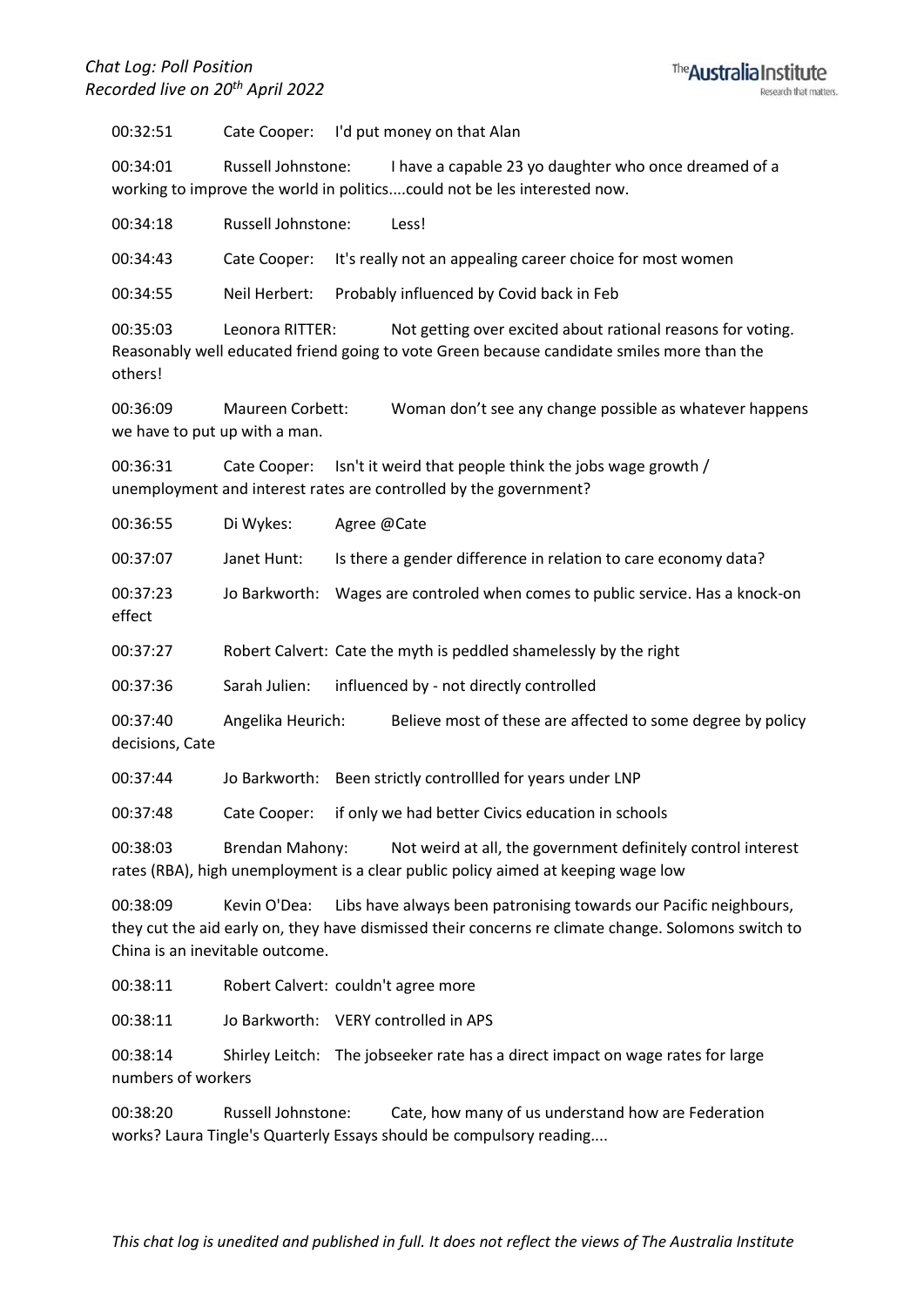## *Chat Log: Poll Position Recorded live on 20th April 2022*



00:32:51 Cate Cooper: I'd put money on that Alan

00:34:01 Russell Johnstone: I have a capable 23 yo daughter who once dreamed of a working to improve the world in politics....could not be les interested now.

00:34:18 Russell Johnstone: Less!

00:34:43 Cate Cooper: It's really not an appealing career choice for most women

00:34:55 Neil Herbert: Probably influenced by Covid back in Feb

00:35:03 Leonora RITTER: Not getting over excited about rational reasons for voting. Reasonably well educated friend going to vote Green because candidate smiles more than the others!

00:36:09 Maureen Corbett: Woman don't see any change possible as whatever happens we have to put up with a man.

00:36:31 Cate Cooper: Isn't it weird that people think the jobs wage growth / unemployment and interest rates are controlled by the government?

00:36:55 Di Wykes: Agree @Cate

00:37:07 Janet Hunt: Is there a gender difference in relation to care economy data?

00:37:23 Jo Barkworth: Wages are controled when comes to public service. Has a knock-on effect

00:37:27 Robert Calvert: Cate the myth is peddled shamelessly by the right

00:37:36 Sarah Julien: influenced by - not directly controlled

00:37:40 Angelika Heurich: Believe most of these are affected to some degree by policy decisions, Cate

00:37:44 Jo Barkworth: Been strictly controllled for years under LNP

00:37:48 Cate Cooper: if only we had better Civics education in schools

00:38:03 Brendan Mahony: Not weird at all, the government definitely control interest rates (RBA), high unemployment is a clear public policy aimed at keeping wage low

00:38:09 Kevin O'Dea: Libs have always been patronising towards our Pacific neighbours, they cut the aid early on, they have dismissed their concerns re climate change. Solomons switch to China is an inevitable outcome.

00:38:11 Robert Calvert: couldn't agree more

00:38:11 Jo Barkworth: VERY controlled in APS

00:38:14 Shirley Leitch: The jobseeker rate has a direct impact on wage rates for large numbers of workers

00:38:20 Russell Johnstone: Cate, how many of us understand how are Federation works? Laura Tingle's Quarterly Essays should be compulsory reading....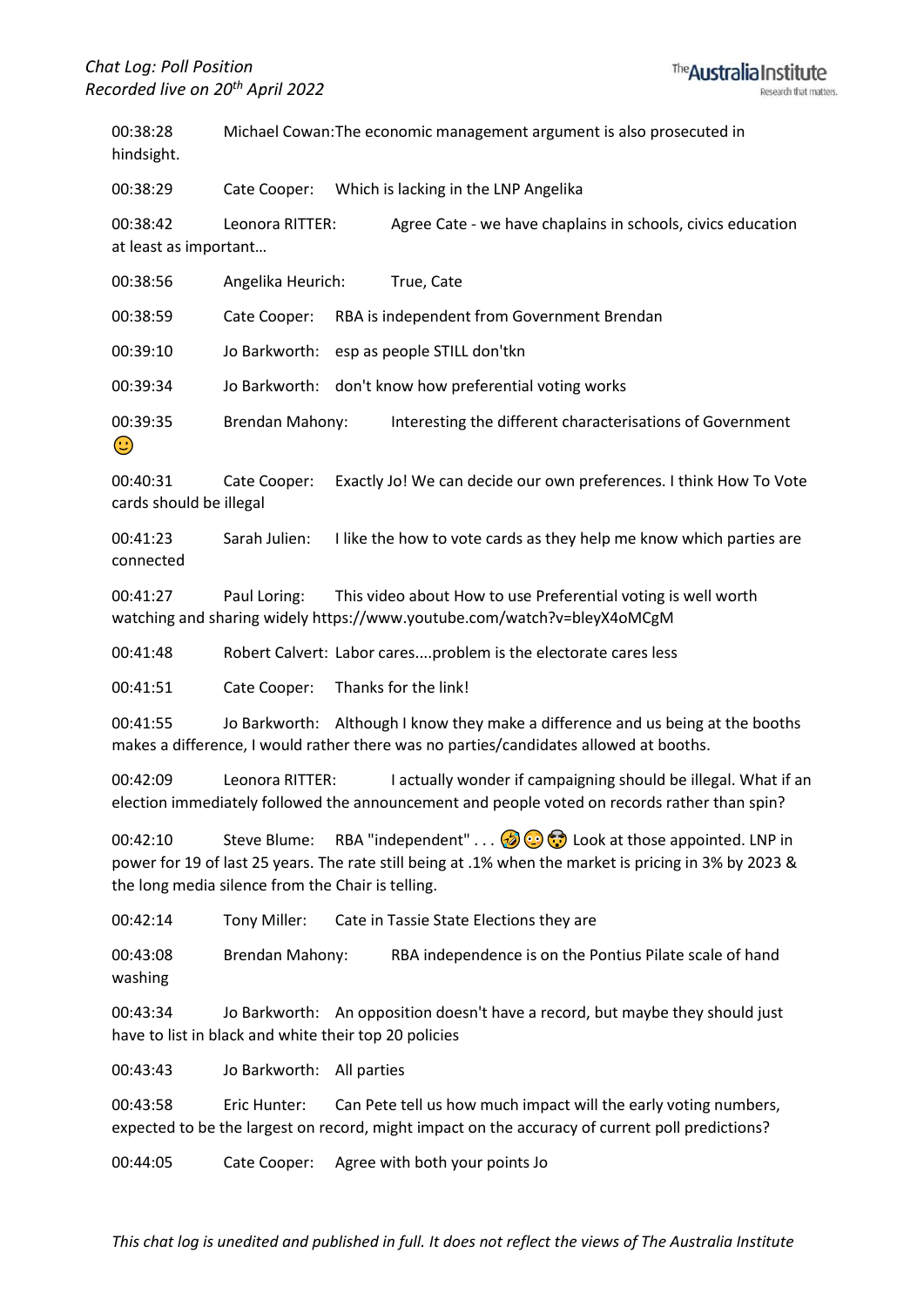

00:38:28 Michael Cowan:The economic management argument is also prosecuted in hindsight.

00:38:29 Cate Cooper: Which is lacking in the LNP Angelika

00:38:42 Leonora RITTER: Agree Cate - we have chaplains in schools, civics education at least as important…

| 00:38:56               | Angelika Heurich:<br>True, Cate                                                     |
|------------------------|-------------------------------------------------------------------------------------|
| 00:38:59               | RBA is independent from Government Brendan<br>Cate Cooper:                          |
| 00:39:10               | Jo Barkworth: esp as people STILL don'tkn                                           |
| 00:39:34               | Jo Barkworth: don't know how preferential voting works                              |
| 00:39:35<br>$\bigodot$ | Interesting the different characterisations of Government<br><b>Brendan Mahony:</b> |

00:40:31 Cate Cooper: Exactly Jo! We can decide our own preferences. I think How To Vote cards should be illegal

00:41:23 Sarah Julien: I like the how to vote cards as they help me know which parties are connected

00:41:27 Paul Loring: This video about How to use Preferential voting is well worth watching and sharing widely https://www.youtube.com/watch?v=bleyX4oMCgM

00:41:48 Robert Calvert: Labor cares....problem is the electorate cares less

00:41:51 Cate Cooper: Thanks for the link!

00:41:55 Jo Barkworth: Although I know they make a difference and us being at the booths makes a difference, I would rather there was no parties/candidates allowed at booths.

00:42:09 Leonora RITTER: I actually wonder if campaigning should be illegal. What if an election immediately followed the announcement and people voted on records rather than spin?

00:42:10 Steve Blume: RBA "independent" . . .  $\bigcirc$   $\bigcirc$  Look at those appointed. LNP in power for 19 of last 25 years. The rate still being at .1% when the market is pricing in 3% by 2023 & the long media silence from the Chair is telling.

00:42:14 Tony Miller: Cate in Tassie State Elections they are

00:43:08 Brendan Mahony: RBA independence is on the Pontius Pilate scale of hand washing

00:43:34 Jo Barkworth: An opposition doesn't have a record, but maybe they should just have to list in black and white their top 20 policies

00:43:43 Jo Barkworth: All parties

00:43:58 Eric Hunter: Can Pete tell us how much impact will the early voting numbers, expected to be the largest on record, might impact on the accuracy of current poll predictions?

00:44:05 Cate Cooper: Agree with both your points Jo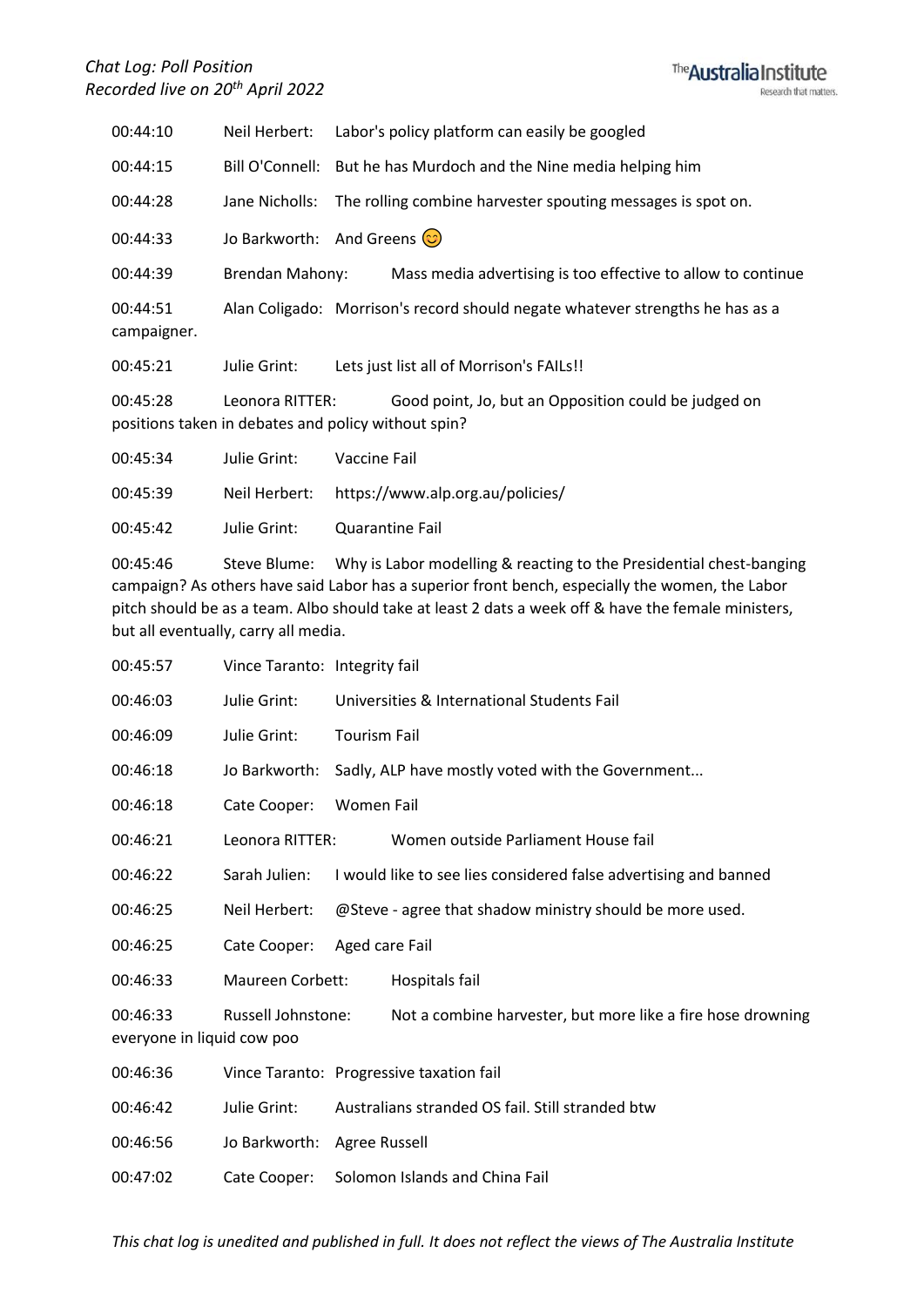

| 00:44:10                | Neil Herbert:   | Labor's policy platform can easily be googled                                                               |  |  |
|-------------------------|-----------------|-------------------------------------------------------------------------------------------------------------|--|--|
| 00:44:15                |                 | Bill O'Connell: But he has Murdoch and the Nine media helping him                                           |  |  |
| 00:44:28                |                 | Jane Nicholls: The rolling combine harvester spouting messages is spot on.                                  |  |  |
| 00:44:33                |                 | Jo Barkworth: And Greens $\circled{c}$                                                                      |  |  |
| 00:44:39                | Brendan Mahony: | Mass media advertising is too effective to allow to continue                                                |  |  |
| 00:44:51<br>campaigner. |                 | Alan Coligado: Morrison's record should negate whatever strengths he has as a                               |  |  |
| 00:45:21                | Julie Grint:    | Lets just list all of Morrison's FAILs!!                                                                    |  |  |
| 00:45:28                | Leonora RITTER: | Good point, Jo, but an Opposition could be judged on<br>positions taken in debates and policy without spin? |  |  |
| 00:45:34                | Julie Grint:    | Vaccine Fail                                                                                                |  |  |

| 00:45:39 | Neil Herbert: | https://www.alp.org.au/policies/ |
|----------|---------------|----------------------------------|
| 00:45:42 | Julie Grint:  | Quarantine Fail                  |

00:45:46 Steve Blume: Why is Labor modelling & reacting to the Presidential chest-banging campaign? As others have said Labor has a superior front bench, especially the women, the Labor pitch should be as a team. Albo should take at least 2 dats a week off & have the female ministers, but all eventually, carry all media.

| 00:45:57                               | Vince Taranto: Integrity fail |                                                  |                                                                  |  |
|----------------------------------------|-------------------------------|--------------------------------------------------|------------------------------------------------------------------|--|
| 00:46:03                               | Julie Grint:                  | Universities & International Students Fail       |                                                                  |  |
| 00:46:09                               | Julie Grint:                  | <b>Tourism Fail</b>                              |                                                                  |  |
| 00:46:18                               | Jo Barkworth:                 | Sadly, ALP have mostly voted with the Government |                                                                  |  |
| 00:46:18                               | Cate Cooper:                  | Women Fail                                       |                                                                  |  |
| 00:46:21                               | Leonora RITTER:               |                                                  | Women outside Parliament House fail                              |  |
| 00:46:22                               | Sarah Julien:                 |                                                  | I would like to see lies considered false advertising and banned |  |
| 00:46:25                               | Neil Herbert:                 |                                                  | @Steve - agree that shadow ministry should be more used.         |  |
| 00:46:25                               | Cate Cooper:                  | Aged care Fail                                   |                                                                  |  |
| 00:46:33                               | <b>Maureen Corbett:</b>       |                                                  | Hospitals fail                                                   |  |
| 00:46:33<br>everyone in liquid cow poo | Russell Johnstone:            |                                                  | Not a combine harvester, but more like a fire hose drowning      |  |
| 00:46:36                               |                               |                                                  | Vince Taranto: Progressive taxation fail                         |  |
| 00:46:42                               | Julie Grint:                  |                                                  | Australians stranded OS fail. Still stranded btw                 |  |
| 00:46:56                               | Jo Barkworth: Agree Russell   |                                                  |                                                                  |  |
| 00:47:02                               | Cate Cooper:                  |                                                  | Solomon Islands and China Fail                                   |  |
|                                        |                               |                                                  |                                                                  |  |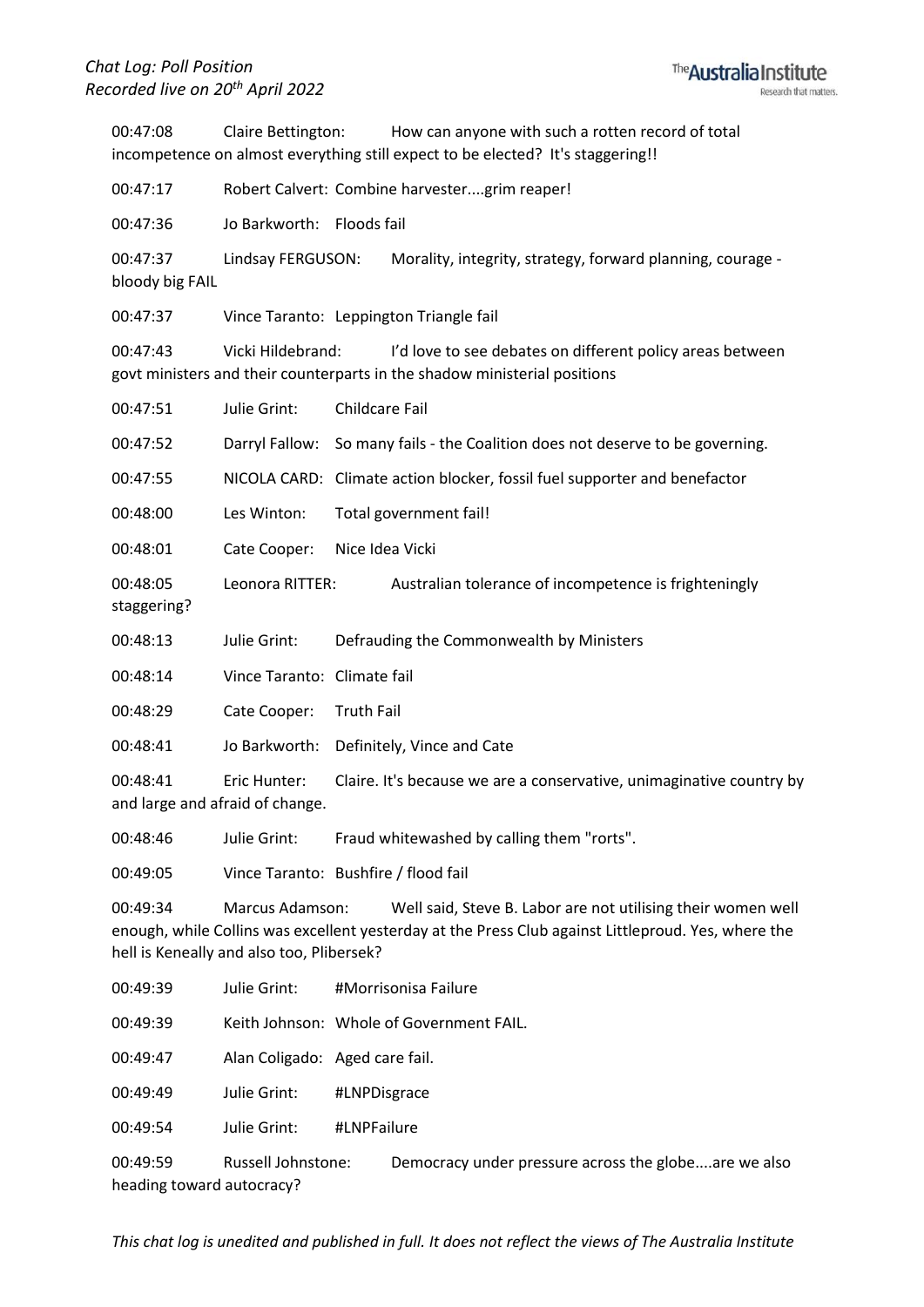00:47:08 Claire Bettington: How can anyone with such a rotten record of total incompetence on almost everything still expect to be elected? It's staggering!!

00:47:17 Robert Calvert: Combine harvester....grim reaper!

00:47:36 Jo Barkworth: Floods fail

00:47:37 Lindsay FERGUSON: Morality, integrity, strategy, forward planning, courage bloody big FAIL

00:47:37 Vince Taranto: Leppington Triangle fail

00:47:43 Vicki Hildebrand: I'd love to see debates on different policy areas between govt ministers and their counterparts in the shadow ministerial positions

| 00:47:51                | Julie Grint:                                    | Childcare Fail                                                                 |  |  |
|-------------------------|-------------------------------------------------|--------------------------------------------------------------------------------|--|--|
| 00:47:52                |                                                 | Darryl Fallow: So many fails - the Coalition does not deserve to be governing. |  |  |
| 00:47:55                |                                                 | NICOLA CARD: Climate action blocker, fossil fuel supporter and benefactor      |  |  |
| 00:48:00                | Les Winton:                                     | Total government fail!                                                         |  |  |
| 00:48:01                | Cate Cooper:                                    | Nice Idea Vicki                                                                |  |  |
| 00:48:05<br>staggering? | Leonora RITTER:                                 | Australian tolerance of incompetence is frighteningly                          |  |  |
| 00:48:13                | Julie Grint:                                    | Defrauding the Commonwealth by Ministers                                       |  |  |
| 00:48:14                | Vince Taranto: Climate fail                     |                                                                                |  |  |
| 00:48:29                | Cate Cooper:                                    | <b>Truth Fail</b>                                                              |  |  |
| 00:48:41                |                                                 | Jo Barkworth: Definitely, Vince and Cate                                       |  |  |
| 00:48:41                | Eric Hunter:<br>and large and afraid of change. | Claire. It's because we are a conservative, unimaginative country by           |  |  |
| 00:48:46                | Julie Grint:                                    | Fraud whitewashed by calling them "rorts".                                     |  |  |

00:49:05 Vince Taranto: Bushfire / flood fail

00:49:34 Marcus Adamson: Well said, Steve B. Labor are not utilising their women well enough, while Collins was excellent yesterday at the Press Club against Littleproud. Yes, where the hell is Keneally and also too, Plibersek?

| 00:49:39 | Julie Grint:                   | #Morrisonisa Failure                     |
|----------|--------------------------------|------------------------------------------|
| 00:49:39 |                                | Keith Johnson: Whole of Government FAIL. |
| 00:49:47 | Alan Coligado: Aged care fail. |                                          |
| 00:49:49 | Julie Grint:                   | #LNPDisgrace                             |
| 00:49:54 | Julie Grint:                   | #LNPFailure                              |
|          |                                |                                          |

00:49:59 Russell Johnstone: Democracy under pressure across the globe....are we also heading toward autocracy?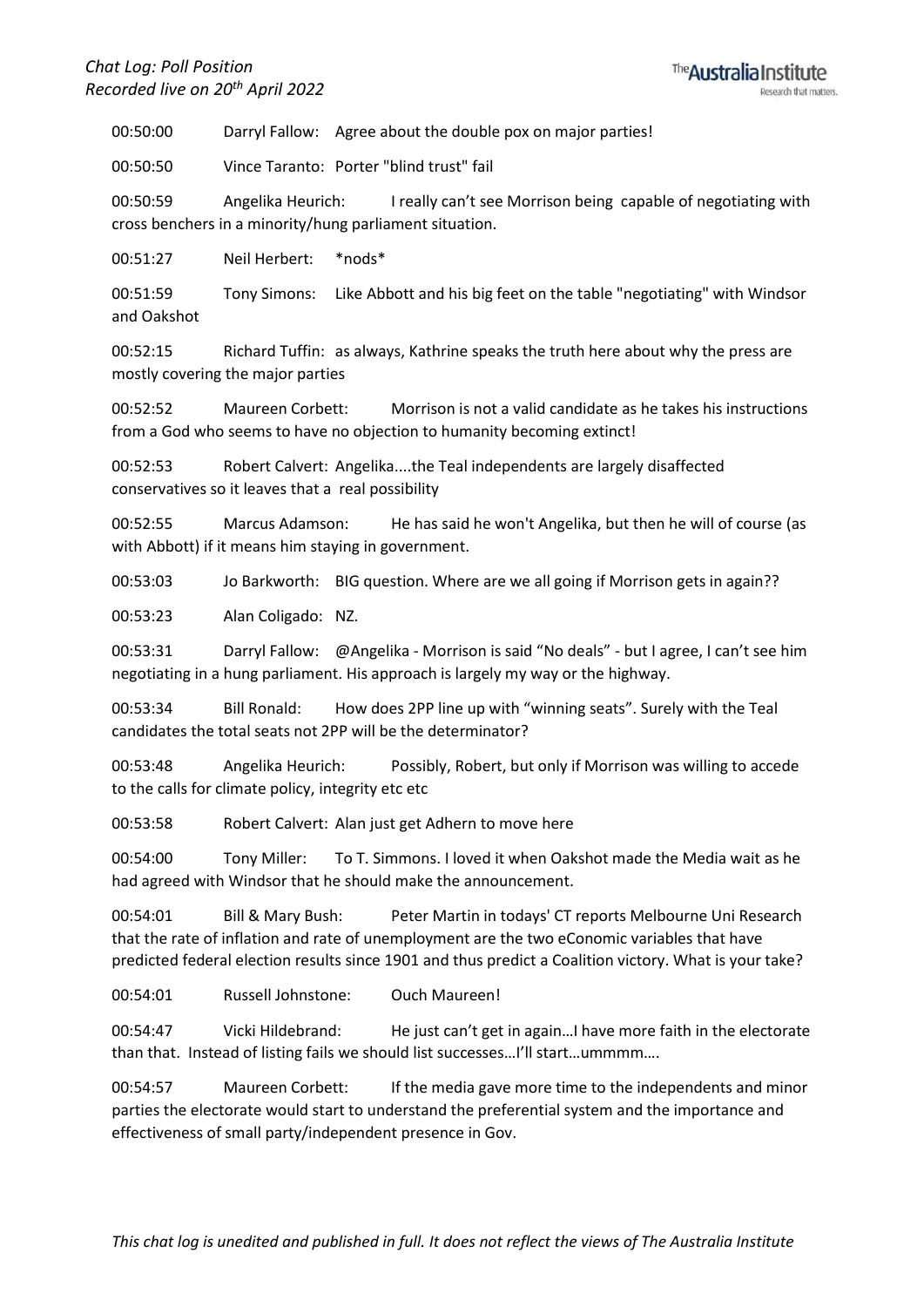00:50:00 Darryl Fallow: Agree about the double pox on major parties!

00:50:50 Vince Taranto: Porter "blind trust" fail

00:50:59 Angelika Heurich: I really can't see Morrison being capable of negotiating with cross benchers in a minority/hung parliament situation.

00:51:27 Neil Herbert: \*nods\*

00:51:59 Tony Simons: Like Abbott and his big feet on the table "negotiating" with Windsor and Oakshot

00:52:15 Richard Tuffin: as always, Kathrine speaks the truth here about why the press are mostly covering the major parties

00:52:52 Maureen Corbett: Morrison is not a valid candidate as he takes his instructions from a God who seems to have no objection to humanity becoming extinct!

00:52:53 Robert Calvert: Angelika....the Teal independents are largely disaffected conservatives so it leaves that a real possibility

00:52:55 Marcus Adamson: He has said he won't Angelika, but then he will of course (as with Abbott) if it means him staying in government.

00:53:03 Jo Barkworth: BIG question. Where are we all going if Morrison gets in again??

00:53:23 Alan Coligado: NZ.

00:53:31 Darryl Fallow: @Angelika - Morrison is said "No deals" - but I agree, I can't see him negotiating in a hung parliament. His approach is largely my way or the highway.

00:53:34 Bill Ronald: How does 2PP line up with "winning seats". Surely with the Teal candidates the total seats not 2PP will be the determinator?

00:53:48 Angelika Heurich: Possibly, Robert, but only if Morrison was willing to accede to the calls for climate policy, integrity etc etc

00:53:58 Robert Calvert: Alan just get Adhern to move here

00:54:00 Tony Miller: To T. Simmons. I loved it when Oakshot made the Media wait as he had agreed with Windsor that he should make the announcement.

00:54:01 Bill & Mary Bush: Peter Martin in todays' CT reports Melbourne Uni Research that the rate of inflation and rate of unemployment are the two eConomic variables that have predicted federal election results since 1901 and thus predict a Coalition victory. What is your take?

00:54:01 Russell Johnstone: Ouch Maureen!

00:54:47 Vicki Hildebrand: He just can't get in again...I have more faith in the electorate than that. Instead of listing fails we should list successes…I'll start…ummmm….

00:54:57 Maureen Corbett: If the media gave more time to the independents and minor parties the electorate would start to understand the preferential system and the importance and effectiveness of small party/independent presence in Gov.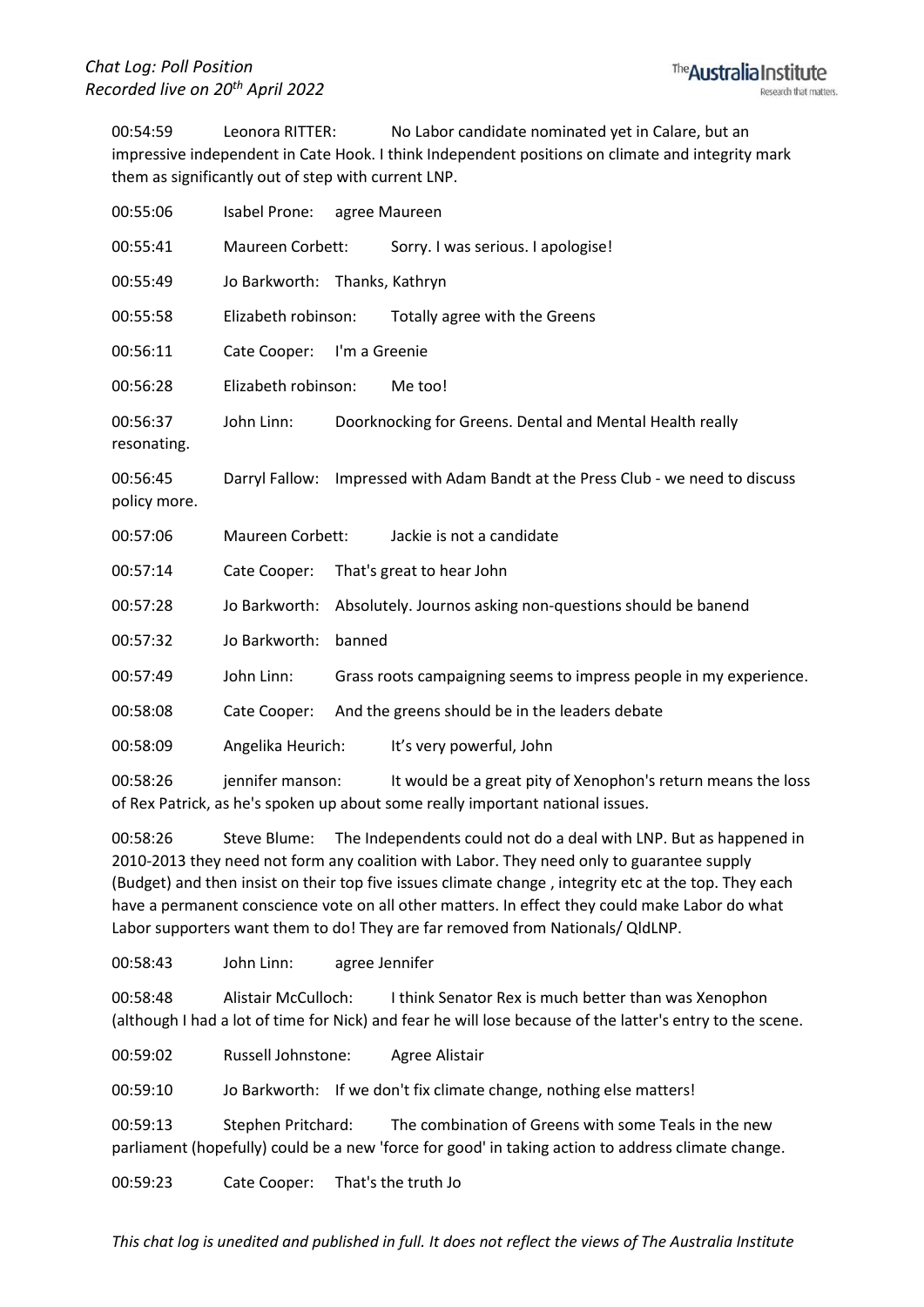00:54:59 Leonora RITTER: No Labor candidate nominated yet in Calare, but an impressive independent in Cate Hook. I think Independent positions on climate and integrity mark them as significantly out of step with current LNP.

| 00:55:06                 | Isabel Prone:                 |               | agree Maureen                                                     |
|--------------------------|-------------------------------|---------------|-------------------------------------------------------------------|
| 00:55:41                 | Maureen Corbett:              |               | Sorry. I was serious. I apologise!                                |
| 00:55:49                 | Jo Barkworth: Thanks, Kathryn |               |                                                                   |
| 00:55:58                 | Elizabeth robinson:           |               | Totally agree with the Greens                                     |
| 00:56:11                 | Cate Cooper:                  | I'm a Greenie |                                                                   |
| 00:56:28                 | Elizabeth robinson:           |               | Me too!                                                           |
| 00:56:37<br>resonating.  | John Linn:                    |               | Doorknocking for Greens. Dental and Mental Health really          |
| 00:56:45<br>policy more. | Darryl Fallow:                |               | Impressed with Adam Bandt at the Press Club - we need to discuss  |
| 00:57:06                 | Maureen Corbett:              |               | Jackie is not a candidate                                         |
| 00:57:14                 | Cate Cooper:                  |               | That's great to hear John                                         |
| 00:57:28                 | Jo Barkworth:                 |               | Absolutely. Journos asking non-questions should be banend         |
| 00:57:32                 | Jo Barkworth:                 | banned        |                                                                   |
| 00:57:49                 | John Linn:                    |               | Grass roots campaigning seems to impress people in my experience. |
| 00:58:08                 | Cate Cooper:                  |               | And the greens should be in the leaders debate                    |
| 00:58:09                 | Angelika Heurich:             |               | It's very powerful, John                                          |
| 00:58:26                 | jennifer manson:              |               | It would be a great pity of Xenophon's return means the loss      |

of Rex Patrick, as he's spoken up about some really important national issues.

00:58:26 Steve Blume: The Independents could not do a deal with LNP. But as happened in 2010-2013 they need not form any coalition with Labor. They need only to guarantee supply (Budget) and then insist on their top five issues climate change , integrity etc at the top. They each have a permanent conscience vote on all other matters. In effect they could make Labor do what Labor supporters want them to do! They are far removed from Nationals/ QldLNP.

00:58:43 John Linn: agree Jennifer

00:58:48 Alistair McCulloch: I think Senator Rex is much better than was Xenophon (although I had a lot of time for Nick) and fear he will lose because of the latter's entry to the scene.

00:59:02 Russell Johnstone: Agree Alistair

00:59:10 Jo Barkworth: If we don't fix climate change, nothing else matters!

00:59:13 Stephen Pritchard: The combination of Greens with some Teals in the new parliament (hopefully) could be a new 'force for good' in taking action to address climate change.

00:59:23 Cate Cooper: That's the truth Jo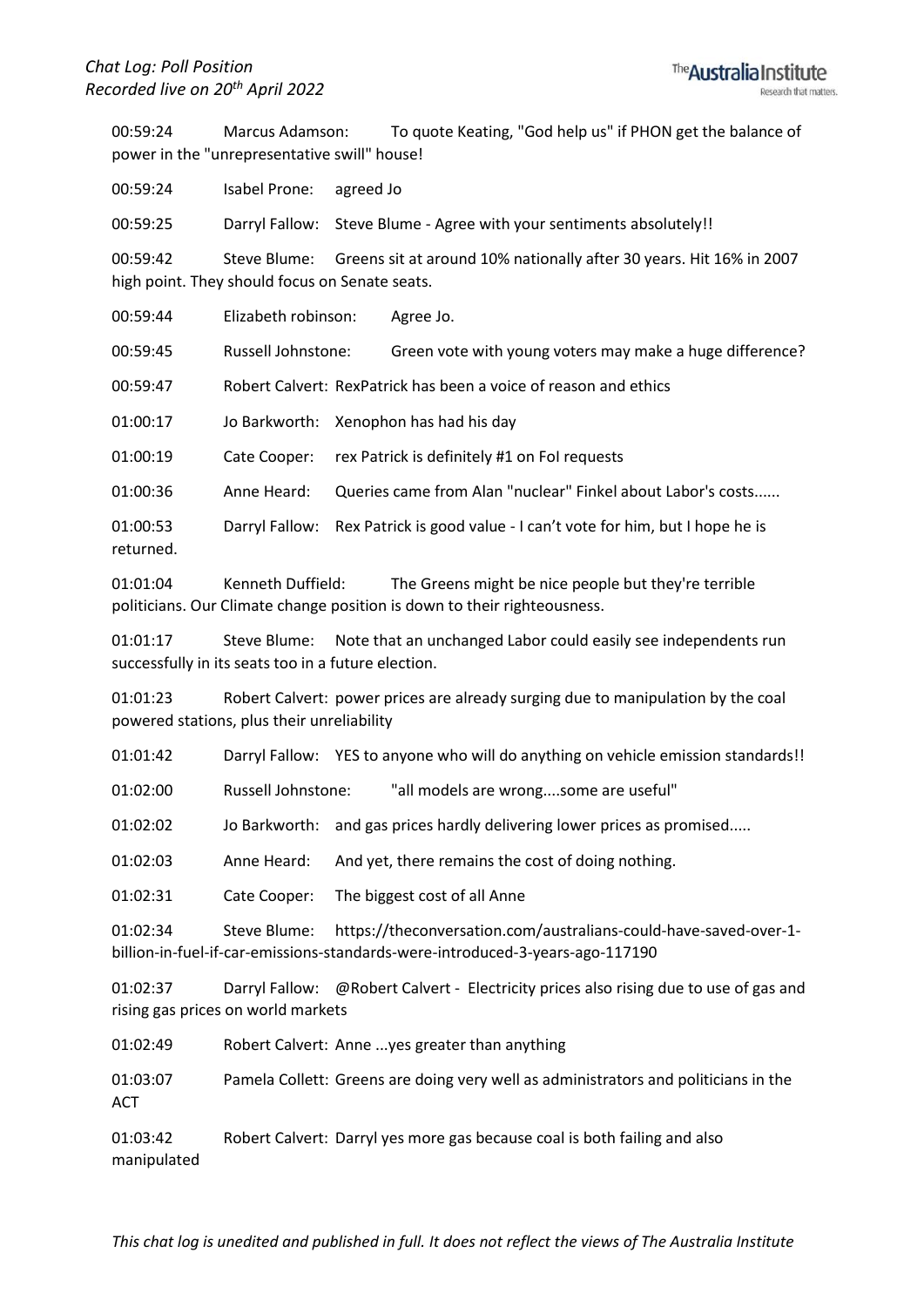00:59:24 Marcus Adamson: To quote Keating, "God help us" if PHON get the balance of power in the "unrepresentative swill" house!

00:59:24 Isabel Prone: agreed Jo 00:59:25 Darryl Fallow: Steve Blume - Agree with your sentiments absolutely!! 00:59:42 Steve Blume: Greens sit at around 10% nationally after 30 years. Hit 16% in 2007 high point. They should focus on Senate seats. 00:59:44 Elizabeth robinson: Agree Jo. 00:59:45 Russell Johnstone: Green vote with young voters may make a huge difference? 00:59:47 Robert Calvert: RexPatrick has been a voice of reason and ethics 01:00:17 Jo Barkworth: Xenophon has had his day

01:00:19 Cate Cooper: rex Patrick is definitely #1 on FoI requests

01:00:36 Anne Heard: Queries came from Alan "nuclear" Finkel about Labor's costs......

01:00:53 Darryl Fallow: Rex Patrick is good value - I can't vote for him, but I hope he is returned.

01:01:04 Kenneth Duffield: The Greens might be nice people but they're terrible politicians. Our Climate change position is down to their righteousness.

01:01:17 Steve Blume: Note that an unchanged Labor could easily see independents run successfully in its seats too in a future election.

01:01:23 Robert Calvert: power prices are already surging due to manipulation by the coal powered stations, plus their unreliability

01:01:42 Darryl Fallow: YES to anyone who will do anything on vehicle emission standards!!

01:02:00 Russell Johnstone: "all models are wrong....some are useful"

01:02:02 Jo Barkworth: and gas prices hardly delivering lower prices as promised.....

01:02:03 Anne Heard: And yet, there remains the cost of doing nothing.

01:02:31 Cate Cooper: The biggest cost of all Anne

01:02:34 Steve Blume: https://theconversation.com/australians-could-have-saved-over-1 billion-in-fuel-if-car-emissions-standards-were-introduced-3-years-ago-117190

01:02:37 Darryl Fallow: @Robert Calvert - Electricity prices also rising due to use of gas and rising gas prices on world markets

01:02:49 Robert Calvert: Anne ...yes greater than anything

01:03:07 Pamela Collett: Greens are doing very well as administrators and politicians in the **ACT** 

01:03:42 Robert Calvert: Darryl yes more gas because coal is both failing and also manipulated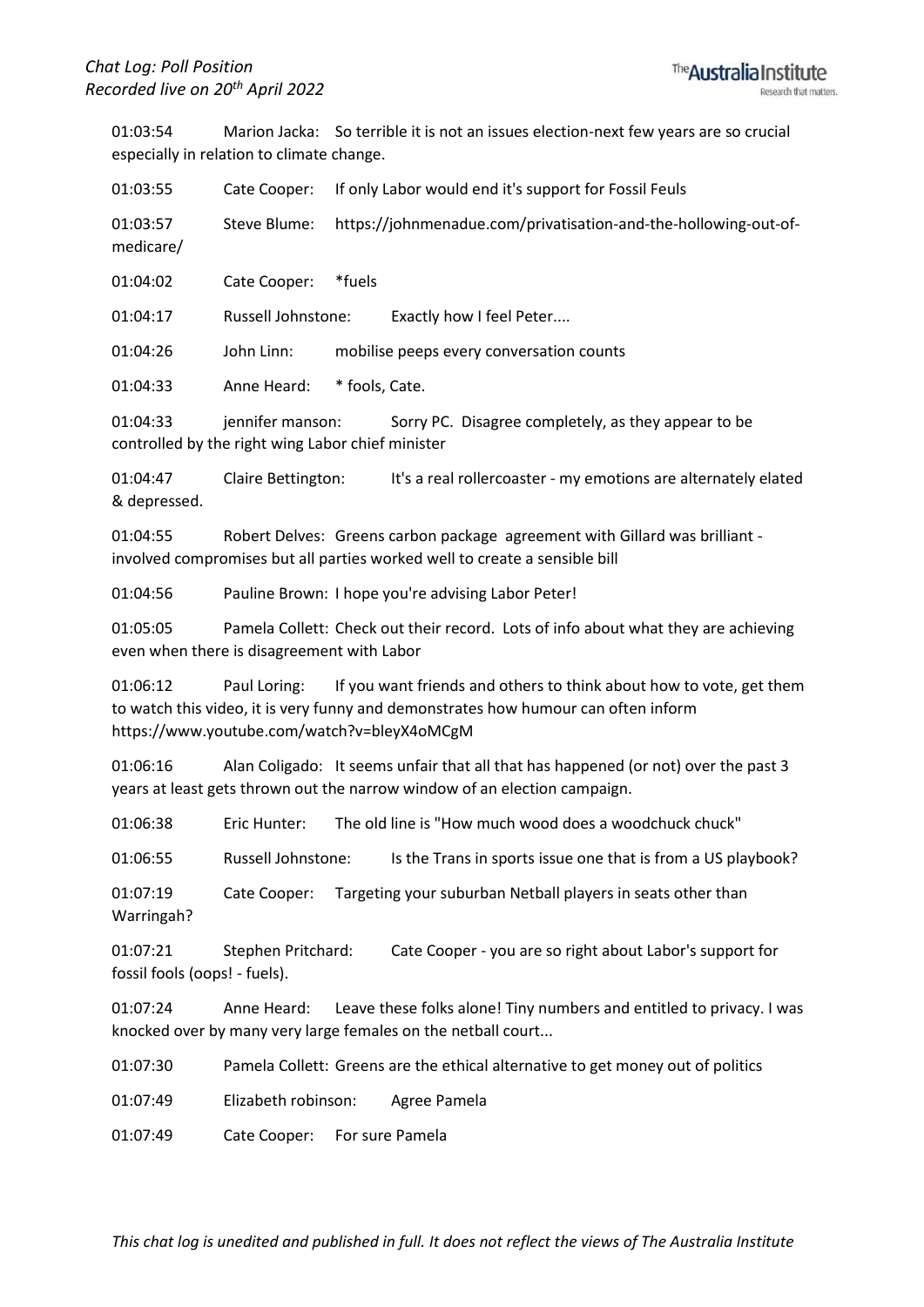01:03:54 Marion Jacka: So terrible it is not an issues election-next few years are so crucial especially in relation to climate change.

01:03:55 Cate Cooper: If only Labor would end it's support for Fossil Feuls 01:03:57 Steve Blume: https://johnmenadue.com/privatisation-and-the-hollowing-out-ofmedicare/

01:04:02 Cate Cooper: \*fuels

01:04:17 Russell Johnstone: Exactly how I feel Peter....

01:04:26 John Linn: mobilise peeps every conversation counts

01:04:33 Anne Heard: \* fools, Cate.

01:04:33 jennifer manson: Sorry PC. Disagree completely, as they appear to be controlled by the right wing Labor chief minister

01:04:47 Claire Bettington: It's a real rollercoaster - my emotions are alternately elated & depressed.

01:04:55 Robert Delves: Greens carbon package agreement with Gillard was brilliant involved compromises but all parties worked well to create a sensible bill

01:04:56 Pauline Brown: I hope you're advising Labor Peter!

01:05:05 Pamela Collett: Check out their record. Lots of info about what they are achieving even when there is disagreement with Labor

01:06:12 Paul Loring: If you want friends and others to think about how to vote, get them to watch this video, it is very funny and demonstrates how humour can often inform https://www.youtube.com/watch?v=bleyX4oMCgM

01:06:16 Alan Coligado: It seems unfair that all that has happened (or not) over the past 3 years at least gets thrown out the narrow window of an election campaign.

01:06:38 Eric Hunter: The old line is "How much wood does a woodchuck chuck"

01:06:55 Russell Johnstone: Is the Trans in sports issue one that is from a US playbook?

01:07:19 Cate Cooper: Targeting your suburban Netball players in seats other than Warringah?

01:07:21 Stephen Pritchard: Cate Cooper - you are so right about Labor's support for fossil fools (oops! - fuels).

01:07:24 Anne Heard: Leave these folks alone! Tiny numbers and entitled to privacy. I was knocked over by many very large females on the netball court...

01:07:30 Pamela Collett: Greens are the ethical alternative to get money out of politics

01:07:49 Elizabeth robinson: Agree Pamela

01:07:49 Cate Cooper: For sure Pamela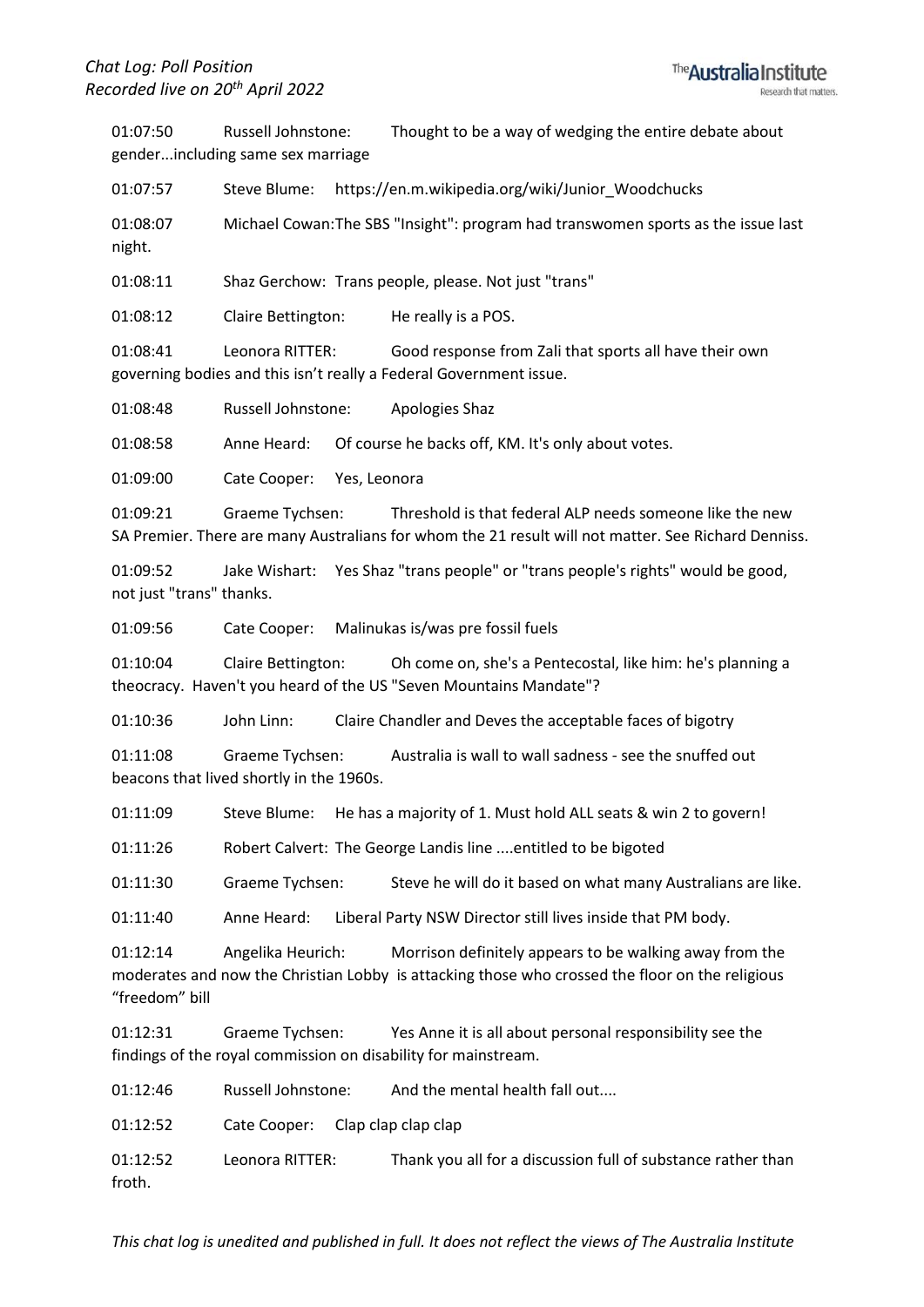01:07:50 Russell Johnstone: Thought to be a way of wedging the entire debate about gender...including same sex marriage

01:07:57 Steve Blume: https://en.m.wikipedia.org/wiki/Junior\_Woodchucks

01:08:07 Michael Cowan:The SBS "Insight": program had transwomen sports as the issue last night.

01:08:11 Shaz Gerchow: Trans people, please. Not just "trans"

01:08:12 Claire Bettington: He really is a POS.

01:08:41 Leonora RITTER: Good response from Zali that sports all have their own governing bodies and this isn't really a Federal Government issue.

01:08:48 Russell Johnstone: Apologies Shaz

01:08:58 Anne Heard: Of course he backs off, KM. It's only about votes.

01:09:00 Cate Cooper: Yes, Leonora

01:09:21 Graeme Tychsen: Threshold is that federal ALP needs someone like the new SA Premier. There are many Australians for whom the 21 result will not matter. See Richard Denniss.

01:09:52 Jake Wishart: Yes Shaz "trans people" or "trans people's rights" would be good, not just "trans" thanks.

01:09:56 Cate Cooper: Malinukas is/was pre fossil fuels

01:10:04 Claire Bettington: Oh come on, she's a Pentecostal, like him: he's planning a theocracy. Haven't you heard of the US "Seven Mountains Mandate"?

01:10:36 John Linn: Claire Chandler and Deves the acceptable faces of bigotry

01:11:08 Graeme Tychsen: Australia is wall to wall sadness - see the snuffed out beacons that lived shortly in the 1960s.

01:11:09 Steve Blume: He has a majority of 1. Must hold ALL seats & win 2 to govern!

01:11:26 Robert Calvert: The George Landis line ....entitled to be bigoted

01:11:30 Graeme Tychsen: Steve he will do it based on what many Australians are like.

01:11:40 Anne Heard: Liberal Party NSW Director still lives inside that PM body.

01:12:14 Angelika Heurich: Morrison definitely appears to be walking away from the moderates and now the Christian Lobby is attacking those who crossed the floor on the religious "freedom" bill

01:12:31 Graeme Tychsen: Yes Anne it is all about personal responsibility see the findings of the royal commission on disability for mainstream.

01:12:46 Russell Johnstone: And the mental health fall out....

01:12:52 Cate Cooper: Clap clap clap clap

01:12:52 Leonora RITTER: Thank you all for a discussion full of substance rather than froth.